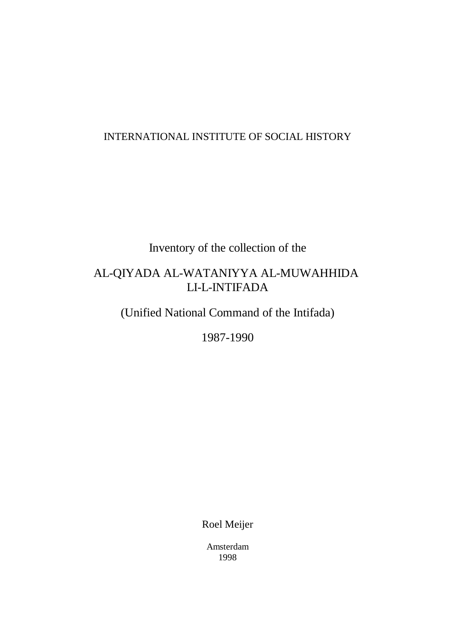# INTERNATIONAL INSTITUTE OF SOCIAL HISTORY

# Inventory of the collection of the

# AL-QIYADA AL-WATANIYYA AL-MUWAHHIDA LI-L-INTIFADA

# (Unified National Command of the Intifada)

1987-1990

Roel Meijer

Amsterdam 1998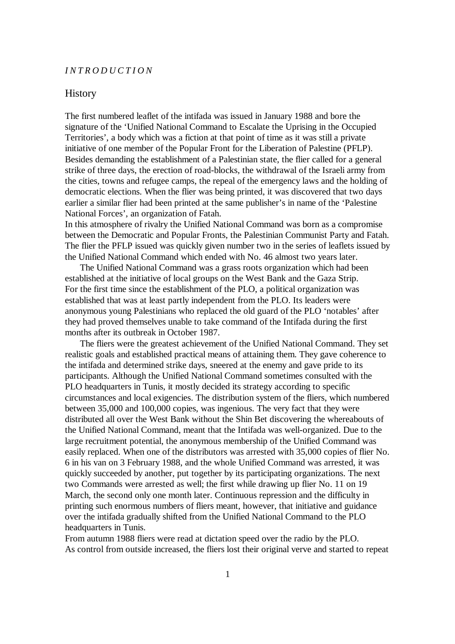#### *INTRODUCTION*

#### **History**

The first numbered leaflet of the intifada was issued in January 1988 and bore the signature of the 'Unified National Command to Escalate the Uprising in the Occupied Territories', a body which was a fiction at that point of time as it was still a private initiative of one member of the Popular Front for the Liberation of Palestine (PFLP). Besides demanding the establishment of a Palestinian state, the flier called for a general strike of three days, the erection of road-blocks, the withdrawal of the Israeli army from the cities, towns and refugee camps, the repeal of the emergency laws and the holding of democratic elections. When the flier was being printed, it was discovered that two days earlier a similar flier had been printed at the same publisher's in name of the 'Palestine National Forces', an organization of Fatah.

In this atmosphere of rivalry the Unified National Command was born as a compromise between the Democratic and Popular Fronts, the Palestinian Communist Party and Fatah. The flier the PFLP issued was quickly given number two in the series of leaflets issued by the Unified National Command which ended with No. 46 almost two years later.

The Unified National Command was a grass roots organization which had been established at the initiative of local groups on the West Bank and the Gaza Strip. For the first time since the establishment of the PLO, a political organization was established that was at least partly independent from the PLO. Its leaders were anonymous young Palestinians who replaced the old guard of the PLO 'notables' after they had proved themselves unable to take command of the Intifada during the first months after its outbreak in October 1987.

The fliers were the greatest achievement of the Unified National Command. They set realistic goals and established practical means of attaining them. They gave coherence to the intifada and determined strike days, sneered at the enemy and gave pride to its participants. Although the Unified National Command sometimes consulted with the PLO headquarters in Tunis, it mostly decided its strategy according to specific circumstances and local exigencies. The distribution system of the fliers, which numbered between 35,000 and 100,000 copies, was ingenious. The very fact that they were distributed all over the West Bank without the Shin Bet discovering the whereabouts of the Unified National Command, meant that the Intifada was well-organized. Due to the large recruitment potential, the anonymous membership of the Unified Command was easily replaced. When one of the distributors was arrested with 35,000 copies of flier No. 6 in his van on 3 February 1988, and the whole Unified Command was arrested, it was quickly succeeded by another, put together by its participating organizations. The next two Commands were arrested as well; the first while drawing up flier No. 11 on 19 March, the second only one month later. Continuous repression and the difficulty in printing such enormous numbers of fliers meant, however, that initiative and guidance over the intifada gradually shifted from the Unified National Command to the PLO headquarters in Tunis.

From autumn 1988 fliers were read at dictation speed over the radio by the PLO. As control from outside increased, the fliers lost their original verve and started to repeat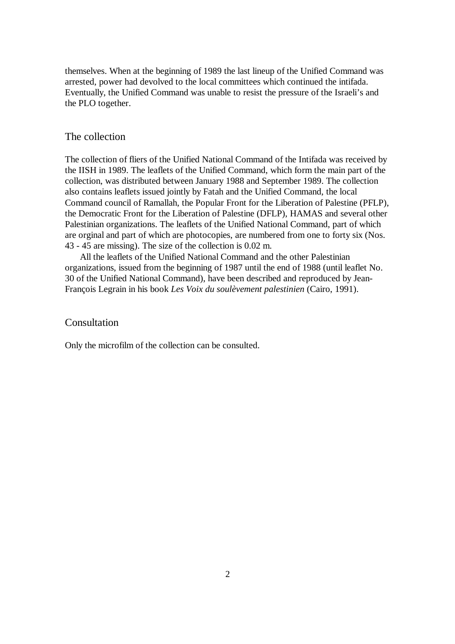themselves. When at the beginning of 1989 the last lineup of the Unified Command was arrested, power had devolved to the local committees which continued the intifada. Eventually, the Unified Command was unable to resist the pressure of the Israeli's and the PLO together.

#### The collection

The collection of fliers of the Unified National Command of the Intifada was received by the IISH in 1989. The leaflets of the Unified Command, which form the main part of the collection, was distributed between January 1988 and September 1989. The collection also contains leaflets issued jointly by Fatah and the Unified Command, the local Command council of Ramallah, the Popular Front for the Liberation of Palestine (PFLP), the Democratic Front for the Liberation of Palestine (DFLP), HAMAS and several other Palestinian organizations. The leaflets of the Unified National Command, part of which are orginal and part of which are photocopies, are numbered from one to forty six (Nos. 43 - 45 are missing). The size of the collection is 0.02 m.

All the leaflets of the Unified National Command and the other Palestinian organizations, issued from the beginning of 1987 until the end of 1988 (until leaflet No. 30 of the Unified National Command), have been described and reproduced by Jean-François Legrain in his book *Les Voix du soulèvement palestinien* (Cairo, 1991).

### Consultation

Only the microfilm of the collection can be consulted.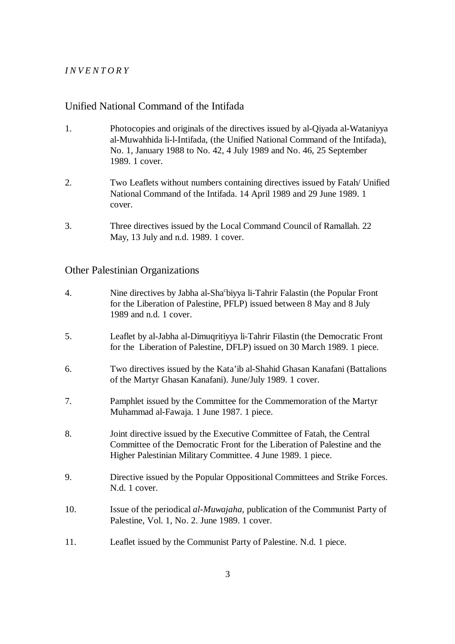### *INVENTORY*

## Unified National Command of the Intifada

- 1. Photocopies and originals of the directives issued by al-Qiyada al-Wataniyya al-Muwahhida li-l-Intifada, (the Unified National Command of the Intifada), No. 1, January 1988 to No. 42, 4 July 1989 and No. 46, 25 September 1989. 1 cover.
- 2. Two Leaflets without numbers containing directives issued by Fatah/ Unified National Command of the Intifada. 14 April 1989 and 29 June 1989. 1 cover.
- 3. Three directives issued by the Local Command Council of Ramallah. 22 May, 13 July and n.d. 1989. 1 cover.

### Other Palestinian Organizations

- 4. Nine directives by Jabha al-Sha<sup>c</sup>biyya li-Tahrir Falastin (the Popular Front for the Liberation of Palestine, PFLP) issued between 8 May and 8 July 1989 and n.d. 1 cover.
- 5. Leaflet by al-Jabha al-Dimuqritiyya li-Tahrir Filastin (the Democratic Front for the Liberation of Palestine, DFLP) issued on 30 March 1989. 1 piece.
- 6. Two directives issued by the Kata'ib al-Shahid Ghasan Kanafani (Battalions of the Martyr Ghasan Kanafani). June/July 1989. 1 cover.
- 7. Pamphlet issued by the Committee for the Commemoration of the Martyr Muhammad al-Fawaja. 1 June 1987. 1 piece.
- 8. Joint directive issued by the Executive Committee of Fatah, the Central Committee of the Democratic Front for the Liberation of Palestine and the Higher Palestinian Military Committee. 4 June 1989. 1 piece.
- 9. Directive issued by the Popular Oppositional Committees and Strike Forces. N.d. 1 cover.
- 10. Issue of the periodical *al-Muwajaha*, publication of the Communist Party of Palestine, Vol. 1, No. 2. June 1989. 1 cover.
- 11. Leaflet issued by the Communist Party of Palestine. N.d. 1 piece.